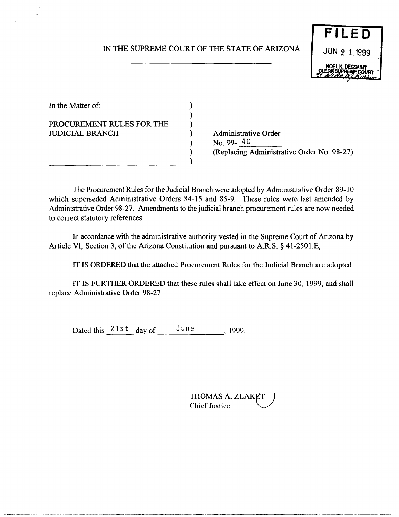# IN THE SUPREME COURT OF THE STATE OF ARIZONA

) ) ) ) )



In the Matter of:

PROCUREMENT RULES FOR THE JUDICIAL BRANCH

----------------------------~)

Administrative Order No. 99- 40 (No. 99-40<br>
(Replacing Administrative Order No. 98-27)

The Procurement Rules for the Judicial Branch were adopted by Administrative Order 89-10 which superseded Administrative Orders 84-15 and 85-9. These rules were last amended by Administrative Order 98-27. Amendments to the judicial branch procurement rules are now needed to correct statutory references.

In accordance with the administrative authority vested in the Supreme Court of Arizona by Article VI, Section 3, of the Arizona Constitution and pursuant to A.R.S. § 41-2501.E,

IT IS ORDERED that the attached Procurement Rules for the Judicial Branch are adopted.

IT IS FURTHER ORDERED that these rules shall take effect on June 30, 1999, and shall replace Administrative Order 98-27.

Dated this  $\frac{21st}{\text{day of}}$  day of  $\frac{\text{June}}{\text{but}}$ , 1999.

THOMAS A. ZLAKET Chief Justice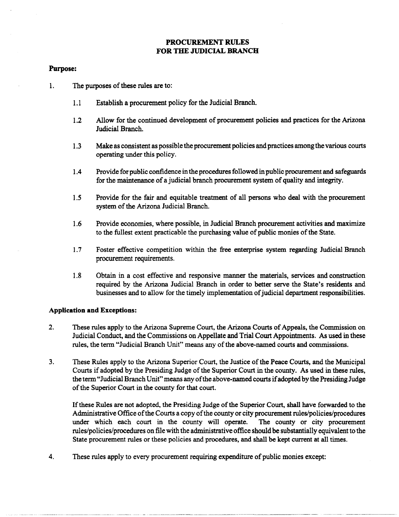## PROCUREMENT RULES FOR THE JUDICIAL BRANCH

## Purpose:

- 1. The purposes of these rules are to:
	- 1.1 Establish a procurement policy for the Judicial Branch.
	- 1.2 Allow for the continued development of procurement policies and practices for the Arizona Judicial Branch.
	- 1.3 Make as consistent as possible the procurement policies and practices among the various courts operating under this policy.
	- 1.4 Provide for public confidence in the procedures followed in public procurement and safeguards for the maintenance of a judicial branch procurement system of quality and integrity.
	- 1.5 Provide for the fair and equitable treatment of all persons who deal with the procurement system of the Arizona Judicial Branch.
	- 1.6 Provide economies, where possible, in Judicial Branch procurement activities and maximize to the fullest extent practicable the purchasing value of public monies of the State.
	- 1.7 Foster effective competition within the free enterprise system regarding Judicial Branch procurement requirements.
	- 1.8 Obtain in a cost effective and responsive manner the materials, services and construction required by the Arizona Judicial Branch in order to better serve the State's residents and businesses and to allow for the timely implementation of judicial department responsibilities.

## Application and Exceptions:

- 2. These rules apply to the Arizona Supreme Court, the Arizona Courts of Appeals, the Commission on Judicial Conduct, and the Commissions on Appellate and Trial Court Appointments. As used in these rules, the term "Judicial Branch Unit" means any of the above-named courts and commissions.
- 3. These Rules apply to the Arizona Superior Court, the Justice of the Peace Courts, and the Municipal Courts if adopted by the Presiding Judge of the Superior Court in the county. As used in these rules, the term "Judicial Branch Unit" means any of the above-named courts if adopted by the Presiding Judge of the Superior Court in the county for that court.

If these Rules are not adopted. the Presiding Judge of the Superior Court, shall have forwarded to the Administrative Office of the Courts a copy of the county or city procurement rules/policies/procedures under which each court in the county will operate. The county or city procurement rules/policies/procedures on file with the administrative office should be substantially equivalent to the State procurement rules or these policies and procedures, and shall be kept current at all times.

4. These rules apply to every procurement requiring expenditure of public monies except: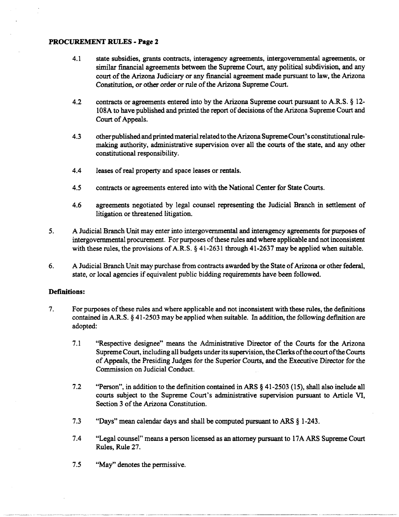- 4.1 state subsidies, grants contracts, interagency agreements, intergovernmental agreements, or similar financial agreements between the Supreme Court, any political subdivision, and any court of the Arizona Judiciary or any financial agreement made pursuant to law, the Arizona Constitution, or other order or rule of the Arizona Supreme Court.
- 4.2 contracts or agreements entered into by the Arizona Supreme court pursuant to A.R.S. § 12- 108A to have published and printed the report of decisions of the Arizona Supreme Court and Court of Appeals.
- 4.3 other published and printed material related to the Arizona Supreme Court's constitutional rulemaking authority, administrative supervision over all the courts of the state, and any other constitutional responsibility.
- 4.4 leases of real property and space leases or rentals.
- 4.5 contracts or agreements entered into with the National Center for State Courts.
- 4.6 agreements negotiated by legal counsel representing the Judicial Branch in settlement of litigation or threatened litigation.
- 5. A Judicial Branch Unit may enter into intergovernmental and interagency agreements for purposes of intergovernmental procurement. For purposes of these rules and where applicable and not inconsistent with these rules, the provisions of A.R.S. § 41-2631 through 41-2637 may be applied when suitable.
- 6. A Judicial Branch Unit may purchase from contracts awarded by the State of Arizona or other federal, state, or local agencies if equivalent public bidding requirements have been followed.

#### **Definitions:**

- 7. For purposes of these rules and where applicable and not inconsistent with these rules, the definitions contained in A.R.S.  $\S$  41-2503 may be applied when suitable. In addition, the following definition are adopted:
	- 7.1 "Respective designee" means the Administrative Director of the Courts for the Arizona Supreme Court, including all budgets under its supervision, the Clerks of the court of the Courts of Appeals, the Presiding Judges for the Superior Courts, and the Executive Director for the Commission on Judicial Conduct.
	- 7.2 "Person", in addition to the definition contained in ARS § 41-2503 (15), shall also include all courts subject to the Supreme Court's administrative supervision pursuant to Article VI, Section 3 of the Arizona Constitution.
	- 7.3 "Days" mean calendar days and shall be computed pursuant to ARS § 1-243.
	- 7.4 "Legal counsel" means a person licensed as an attorney pursuant to 17 A ARS Supreme Court Rules, Rule 27.
	- 7.5 "May" denotes the permissive.

------------------ --- ------- ------- ------------------~---------------------- ---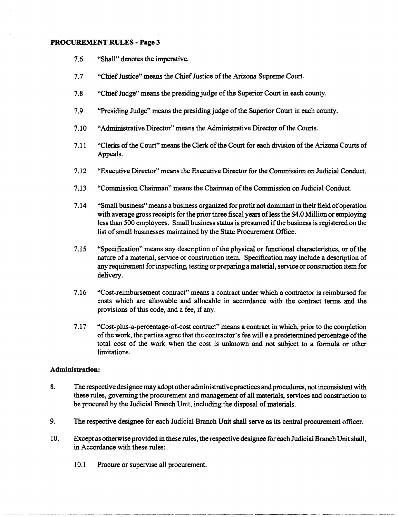- 7.6 "Shall" denotes the imperative.
- 7.7 "Chief Justice" means the Chief Justice of the Arizona Supreme Court.
- 7.8 "Chief Judge" means the presiding judge of the Superior Court in each county.
- 7.9 "Presiding Judge" means the presiding judge of the Superior Court in each county.
- 7.10 "Administrative Director" means the Administrative Director of the Courts.
- 7.11 "Clerks of the Court" means the Clerk of the Court for each division of the Arizona Courts of Appeals.
- 7.12 "Executive Director" means the Executive Director for the Commission on Judicial Conduct.
- 7.13 "Commission Chairman" means the Chairman of the Commission on Judicial Conduct.
- 7.14 "Small business" means a business organized for profit not dominant in their field of operation with average gross receipts for the prior three fiscal years of less the \$4.0 Million or employing less than 500 employees. Small business status is presumed if the business is registered on the list of small businesses maintained by the State Procurement Office.
- 7.15 "Specification" means any description of the physical or functional characteristics, or of the nature of a material, service or construction item. Specification may include a description of any requirement for inspecting, testing or preparing a material, service or construction item for delivery.
- 7.16 "Cost-reimbursement contract" means a contract under which a contractor is reimbursed for costs which are allowable and allocable in accordance with the contract terms and the provisions of this code, and a fee, if any.
- 7.17 "Cost-plus-a-percentage-of-cost contract" means a contract in which, prior to the completion of the work, the parties agree that the contractor's fee will e a predetermined percentage of the total cost of the work when the cost is unknown and not subject to a formula or other limitations.

#### **Administration:**

- 8. The respective designee may adopt other administrative practices and procedures, not inconsistent with these rules, governing the procurement and management of all materials, services and construction to be procured by the Judicial Branch Unit, including the disposal of materials.
- 9. The respective designee for each Judicial Branch Unit shall serve as its central procurement officer.
- 10. Except as otherwise provided in these rules, the respective designee for each Judicial Branch Unit shall, in Accordance with these rules:
	- 10.1 Procure or supervise all procurement.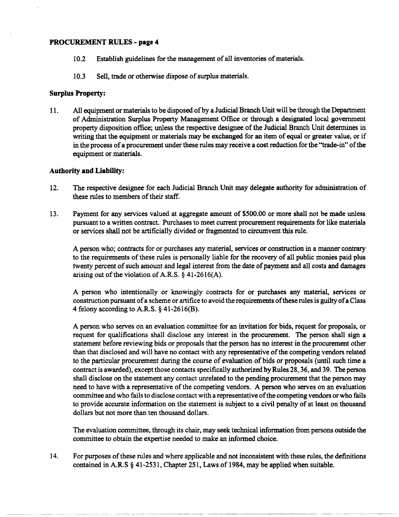- 10.2 Establish guidelines for the management of all inventories of materials.
- 10.3 Sell, trade or otherwise dispose of swplus materials.

## **Surplus Property:**

11. All equipment or materials to be disposed of by a Judicial Branch Unit will be through the Department of Administration Swplus Property Management Office or through a designated local government property disposition office; unless the respective designee of the Judicial Branch Unit determines in writing that the equipment or materials may be exchanged for an item of equal or greater value, or if in the process of a procurement under these rules may receive a cost reduction for the "trade-in" of the equipment or materials.

## **Authority and Liability:**

- 12. The respective designee for each Judicial Branch Unit may delegate authority for administration of these rules to members of their staff.
- 13. Payment for any services valued at aggregate amount of \$500.00 or more shall not be made unless pursuant to a written contract. Purchases to meet current procurement requirements for like materials or services shall not be artificially divided or fragmented to circumvent this rule.

A person who; contracts for or purchases any material, services or construction in a manner contrary to the requirements of these rules is personally liable for the recovery of all public monies paid plus twenty percent of such amount and legal interest from the date of payment and all costs and damages arising out of the violation of A.R.S. § 41-2616(A).

A person who intentionally or knowingly contracts for or purchases any material, services or construction pursuant of a scheme or artifice to avoid the requirements of these rules is guilty of a Class 4 felony according to A.R.S. § 41-2616(B).

A person who serves on an evaluation committee for an invitation for bids, request for proposals, or request for qualifications shall disclose any interest in the procurement. The person shall sign a statement before reviewing bids or proposals that the person has no interest in the procurement other than that disclosed and will have no contact with any representative of the competing vendors related to the particular procurement during the course of evaluation of bids or proposals (until such time a contract is awarded), except those contacts specifically authorized by Rules 28, 36, and 39. The person shall disclose on the statement any contact unrelated to the pending procurement that the person may need to have with a representative of the competing vendors. A person who serves on an evaluation committee and who fails to disclose contact with a representative of the competing vendors or who fails to provide accurate information on the statement is subject to a civil penalty of at least on thousand dollars but not more than ten thousand dollars.

The evaluation committee, through its chair, may seek technical information from persons outside the committee to obtain the expertise needed to make an informed choice.

14. For pwposes of these rules and where applicable and not inconsistent with these rules, the definitions contained in A.R.S § 41-2531, Chapter 251, Laws of 1984, may be applied when suitable.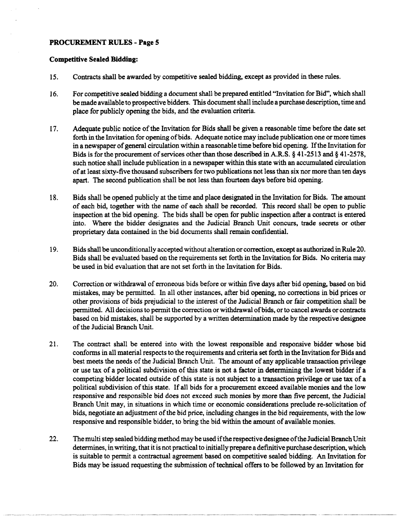### **Competitive Sealed Bidding:**

- 15. Contracts shall be awarded by competitive sealed bidding, except as provided in these rules.
- 16. For competitive sealed bidding a document shall be prepared entitled "Invitation for Bid", which shall be made available to prospective bidders. This document shall include a purchase description, time and place for publicly opening the bids, and the evaluation criteria.
- 17. Adequate public notice of the Invitation for Bids shall be given a reasonable time before the date set forth in the Invitation for opening of bids. Adequate notice may include publication one or more times in a newspaper of general circulation within a reasonable time before bid opening. If the Invitation for Bids is for the procurement of services other than those described in A.R.S. § 41-2513 and § 41-2578, such notice shall include publication in a newspaper within this state with an accumulated circulation of at least sixty-five thousand subscribers for two publications not less than six nor more than ten days apart. The second publication shall be not less than fourteen days before bid opening.
- 18. Bids shall be opened publicly at the time and place designated in the Invitation for Bids. The amount of each bid, together with the name of each shall be recorded. This record shall be open to public inspection at the bid opening. The bids shall be open for public inspection after a contract is entered into. Where the bidder designates and the Judicial Branch Unit concurs, trade secrets or other proprietary data contained in the bid documents shall remain confidential.
- 19. Bids shall be unconditionally accepted without alteration or correction, except as authorized in Rule 20. Bids shall be evaluated based on the requirements set forth in the Invitation for Bids. No criteria may be used in bid evaluation that are not set forth in the Invitation for Bids.
- 20. Correction or withdrawal of erroneous bids before or within five days after bid opening, based on bid mistakes, may be permitted. In all other instances, after bid opening, no corrections in bid prices or other provisions of bids prejudicial to the interest of the Judicial Branch or fair competition shall be permitted. All decisions to permit the correction or withdrawal of bids, or to cancel awards or contracts based on bid mistakes, shall be supported by a written determination made by the respective designee of the Judicial Branch Unit.
- 21. The contract shall be entered into with the lowest responsible and responsive bidder whose bid conforms in all material respects to the requirements and criteria set forth in the Invitation for Bids and best meets the needs of the Judicial Branch Unit. The amount of any applicable transaction privilege or use tax of a political subdivision of this state is not a factor in determining the lowest bidder if a competing bidder located outside of this state is not subject to a transaction privilege or use tax of a political subdivision of this state. If all bids for a procurement exceed available monies and the low responsive and responsible bid does not exceed such monies by more than five percent, the Judicial Branch Unit may, in situations in which time or economic considerations preclude re-solicitation of bids, negotiate an adjustment of the bid price, including changes in the bid requirements, with the low responsive and responsible bidder, to bring the bid within the amount of available monies.
- 22. The multi step sealed bidding method may be used if the respective designee of the Judicial Branch Unit determines, in writing, that it is not practical to initially prepare a definitive purchase description, which is suitable to permit a contractual agreement based on competitive sealed bidding. An Invitation for Bids may be issued requesting the submission of technical offers to be followed by an Invitation for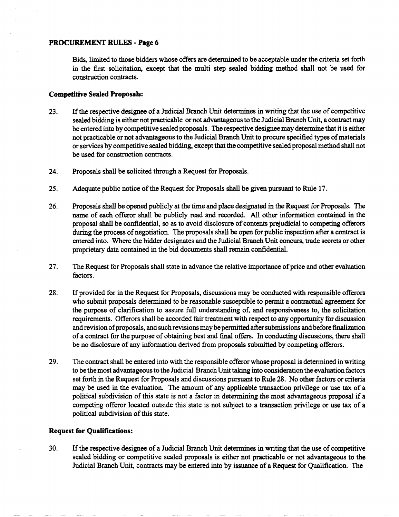Bids, limited to those bidders whose offers are determined to be acceptable under the criteria set forth in the first solicitation, except that the multi step sealed bidding method shall not be used for construction contracts.

## **Competitive Sealed Proposals:**

- 23. If the respective designee of a Judicial Branch Unit determines in writing that the use of competitive sealed bidding is either not practicable or not advantageous to the Judicial Branch Unit, a contract may be entered into by competitive sealed proposals. The respective designee may determine that it is either not practicable or not advantageous to the Judicial Branch Unit to procure specified types of materials or services by competitive sealed bidding, except that the competitive sealed proposal method shall not be used for construction contracts.
- 24. Proposals shall be solicited through a Request for Proposals.
- 25. Adequate public notice of the Request for Proposals shall be given pursuant to Rule 17.
- 26. Proposals shall be opened publicly at the time and place designated in the Request for Proposals. The name of each offeror shall be publicly read and recorded. All other information contained in the proposal shall be confidential, so as to avoid disclosure of contents prejudicial to competing offerors during the process of negotiation. The proposals shall be open for public inspection after a contract is entered into. Where the bidder designates and the Judicial Branch Unit concurs, trade secrets or other proprietary data contained in the bid documents shall remain confidential.
- 27. The Request for Proposals shall state in advance the relative importance of price and other evaluation factors.
- 28. If provided for in the Request for Proposals, discussions may be conducted with responsible offerors who submit proposals determined to be reasonable susceptible to permit a contractual agreement for the purpose of clarification to assure full understanding of, and responsiveness to, the solicitation requirements. Offerors shall be accorded fair treatment with respect to any opportunity for discussion and revision of proposals, and such revisions may be permitted after submissions and before finalization of a contract for the purpose of obtaining best and final offers. In conducting discussions, there shall be no disclosure of any infonnation derived from proposals submitted by competing offerors.
- 29. The contract shall be entered into with the responsible offeror whose proposal is determined in writing to be the most advantageous to the Judicial Branch Unit taking into consideration the evaluation factors set forth in the Request for Proposals and discussions pursuant to Rule 28. No other factors or criteria may be used in the evaluation. The amount of any applicable transaction privilege or use tax of a political subdivision of this state is not a factor in determining the most advantageous proposal if a competing offeror located outside this state is not subject to a transaction privilege or use tax of a political subdivision of this state.

## **Request for Qualifications:**

30. If the respective designee of a Judicial Branch Unit determines in writing that the use of competitive sealed bidding or competitive sealed proposals is either not practicable or not advantageous to the Judicial Branch Unit, contracts may be entered into by issuance of a Request for Qualification. The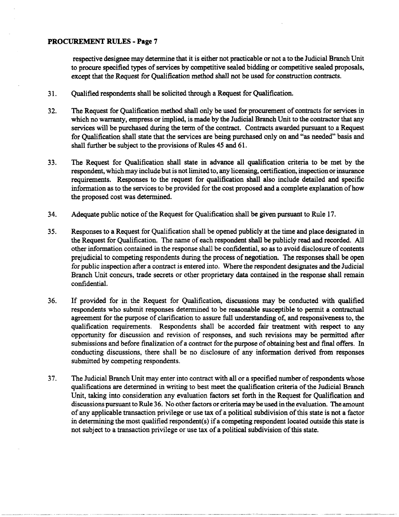respective designee may determine that it is either not practicable or not a to the Judicial Branch Unit to procure specified types of services by competitive sealed bidding or competitive sealed proposals, except that the Request for Qualification method shall not be used for construction contracts.

- 31. Qualified respondents shall be solicited through a Request for Qualification.
- 32. The Request for Qualification method shall only be used for procurement of contracts for services in which no warranty, empress or implied, is made by the Judicial Branch Unit to the contractor that any services will be purchased during the term of the contract. Contracts awarded pursuant to a Request for Qualification shall state that the services are being purchased only on and "as needed" basis and shall further be subject to the provisions of Rules 45 and 61.
- 33. The Request for Qualification shall state in advance all qualification criteria to be met by the respondent, which may include but is not limited to, any licensing, certification, inspection or insurance requirements. Responses to the request for qualification shall also include detailed and specific information as to the services to be provided for the cost proposed and a complete explanation of how the proposed cost was determined.
- 34. Adequate public notice of the Request for Qualification shall be given pursuant to Rule 17.
- 35. Responses to a Request for Qualification shall be opened publicly at the time and place designated in the Request for Qualification. The name of each respondent shall be publicly read and recorded. All other information contained in the response shall be confidential, so as to avoid disclosure of contents prejudicial to competing respondents during the process of negotiation. The responses shall be open for public inspection after a contract is entered into. Where the respondent designates and the Judicial Branch Unit concurs, trade secrets or other proprietary data contained in the response shall remain confidential.
- 36. If provided for in the Request for Qualification, discussions may be conducted with qualified respondents who submit responses determined to be reasonable susceptible to permit a contractual agreement for the purpose of clarification to assure full understanding of, and responsiveness to, the qualification requirements. Respondents shall be accorded fair treatment with respect to any opportunity for discussion and revision of responses, and such revisions may be permitted after submissions and before finalization of a contract for the purpose of obtaining best and final offers. In conducting discussions, there shall be no disclosure of any information derived from responses submitted by competing respondents.
- 37. The Judicial Branch Unit may enter into contract with all or a specified number of respondents whose qualifications are determined in writing to best meet the qualification criteria of the Judicial Branch Unit, taking into consideration any evaluation factors set forth in the Request for Qualification and discussions pursuant to Rule 36. No other factors or criteria may be used in the evaluation. The amount of any applicable transaction privilege or use tax of a political subdivision of this state is not a factor in determining the most qualified respondent(s) if a competing respondent located outside this state is not subject to a transaction privilege or use tax of a political subdivision of this state.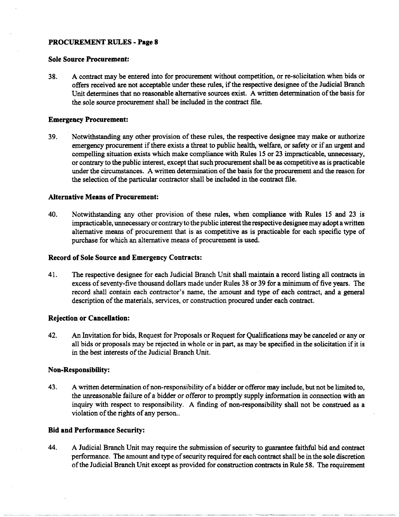#### Sole Source Procurement:

38. A contract may be entered into for procurement without competition, or re-solicitation when bids or offers received are not acceptable under these rules, if the respective designee of the Judicial Branch Unit determines that no reasonable alternative sources exist. A written determination of the basis for the sole source procurement shall be included in the contract file.

### Emergency Procurement:

39. Notwithstanding any other provision of these rules, the respective designee may make or authorize emergency procurement if there exists a threat to public health, welfare, or safety or if an urgent and compelling situation exists which make compliance with Rules 15 or 23 impracticable, unnecessary, or contrary to the public interest, except that such procurement shall be as competitive as is practicable under the circumstances. A written determination of the basis for the procurement and the reason for the selection of the particular contractor shall be included in the contract file.

## Alternative Means of Procurement:

40. Notwithstanding any other provision of these rules, when compliance with Rules 15 and 23 is impracticable, unnecessary or contrary to the public interest the respective designee may adopt a written alternative means of procurement that is as competitive as is practicable for each specific type of purchase for which an alternative means of procurement is used.

### Record of Sole Source and Emergency Contracts:

41. The respective designee for each Judicial Branch Unit shall maintain a record listing all contracts in excess of seventy-five thousand dollars made under Rules 38 or 39 for a minimum of five years. The record shall contain each contractor's name, the amount and type of each contract, and a general description of the materials, services, or construction procured under each contract.

#### Rejection or Cancellation:

42. An Invitation for bids, Request for Proposals or Request for Qualifications may be canceled or any or all bids or proposals may be rejected in whole or in part, as may be specified in the solicitation if it is in the best interests of the Judicial Branch Unit.

#### Non-Responsibility:

43. A written determination of non-responsibility of a bidder or offeror may include, but not be limited to, the unreasonable failure of a bidder or offeror to promptly supply information in connection with an inquiry with respect to responsibility. A fmding of non-responsibility shall not be construed as a violation of the rights of any person..

#### Bid and Performance Security:

44. A Judicial Branch Unit may require the submission of security to guarantee faithful bid and contract performance. The amount and type of security required for each contract shall be in the sole discretion of the Judicial Branch Unit except as provided for construction contracts in Rule 58. The requirement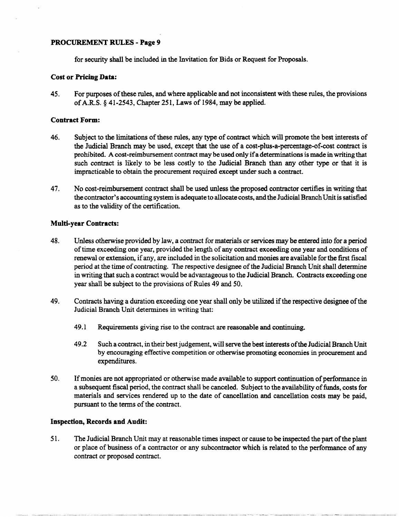for security shall be included in the Invitation for Bids or Request for Proposals.

### Cost or Pricing Data:

45. For purposes of these rules, and where applicable and not inconsistent with these rules, the provisions of A.R.S. § 41-2543, Chapter 251, Laws of 1984, may be applied.

## Contract Form:

- 46. Subject to the limitations of these rules, any type of contract which will promote the best interests of the Judicial Branch may be used, except that the use of a cost-plus-a-percentage-of-cost contract is prohibited. A cost-reimbursement contract may be used only if a determinations is made in writing that such contract is likely to be less costly to the Judicial Branch than any other type or that it is impracticable to obtain the procurement required except under such a contract.
- 47. No cost-reimbursement contract shall be used unless the proposed contractor certifies in writing that the contractor's accounting system is adequate to allocate costs, and the Judicial Branch Unit is satisfied as to the Validity of the certification.

## Multi-year Contracts:

- 48. Unless otherwise provided by law, a contract for materials or services may be entered into for a period of time exceeding one year, provided the length of any contract exceeding one year and conditions of renewal or extension, if any, are included in the solicitation and monies are available for the first fiscal period at the time of contracting. The respective designee of the Judicial Branch Unit shall determine in writing that such a contract would be advantageous to the Judicial Branch. Contracts exceeding one year shall be subject to the provisions of Rules 49 and 50.
- 49. Contracts having a duration exceeding one year shall only be utilized if the respective designee of the Judicial Branch Unit detennines in writing that:
	- 49.1 Requirements giving rise to the contract are reasonable and continuing.
	- 49.2 Such a contract, in their best judgement, will serve the best interests of the Judicial Branch Unit by encouraging effective competition or otherwise promoting economies in procurement and expenditures.
- 50. If monies are not appropriated or otherwise made available to support continuation of performance in a subsequent fiscal period, the contract shall be canceled. Subject to the availability of funds, costs for materials and services rendered up to the date of cancellation and cancellation costs may be paid, pursuant to the terms of the contract.

## Inspection, Records and Audit:

51. The Judicial Branch Unit may at reasonable times inspect or cause to be inspected the part of the plant or place of business of a contractor or any subcontractor which is related to the performance of any contract or proposed contract.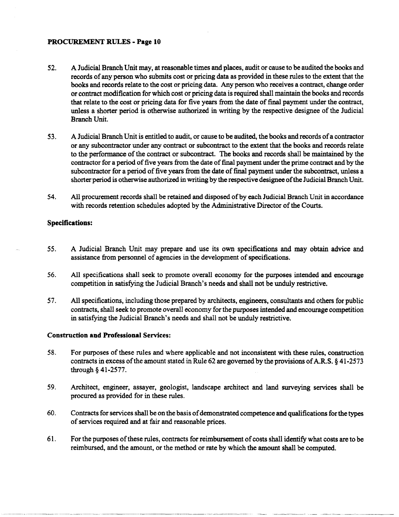- 52. A Judicial Branch Unit may, at reasonable times and places, audit or cause to be audited the books and records of any person who submits cost or pricing data as provided in these rules to the extent that the books and records relate to the cost or pricing data. Any person who receives a contract, change order or contract modification for which cost or pricing data is required shall maintain the books and records that relate to the cost or pricing data for five years from the date of final payment under the contract, unless a shorter period is otherwise authorized in writing by the respective designee of the Judicial Branch Unit.
- 53. A Judicial Branch Unit is entitled to audit, or cause to be audited, the books and records of a contractor or any subcontractor under any contract or subcontract to the extent that the books and records relate to the performance of the contract or subcontract. The books and records shall be maintained by the contractor for a period of five years from the date of final payment under the prime contract and by the subcontractor for a period of five years from the date of final payment under the subcontract, unless a shorter period is otherwise authorized in writing by the respective designee of the Judicial Branch Unit.
- 54. All procurement records shall be retained and disposed of by each Judicial Branch Unit in accordance with records retention schedules adopted by the Administrative Director of the Courts.

#### Specifications:

- 55. A Judicial Branch Unit may prepare and use its own specifications and may obtain advice and assistance from personnel of agencies in the development of specifications.
- 56. All specifications shall seek to promote overall economy for the purposes intended and encourage competition in satisfying the Judicial Branch's needs and shall not be unduly restrictive.
- 57. All specifications, including those prepared by architects, engineers, consultants and others for public contracts, shall seek to promote overall economy for the purposes intended and encourage competition in satisfying the Judicial Branch's needs and shall not be unduly restrictive.

#### Construction **and** Professional Services:

- 58. For purposes of these rules and where applicable and not inconsistent with these rules, construction contracts in excess of the amount stated in Rule 62 are governed by the provisions of A.R.S.  $\S$  41-2573 through § 41-2577.
- 59. Architect, engineer, assayer, geologist, landscape architect and land surveying services shall be procured as provided for in these rules.
- 60. Contracts for services shall be on the basis of demonstrated competence and qualifications for the types of services required and at fair and reasonable prices.
- 61. For the purposes of these rules, contracts for reimbursement of costs shall identify what costs are to be reimbursed, and the amount, or the method or rate by which the amount shall be computed.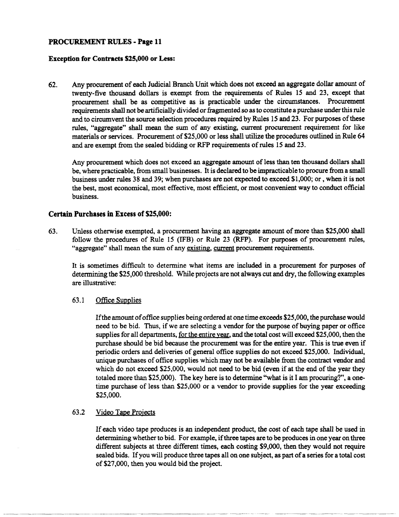#### Exception for Contracts 525,000 or Less:

62. Any procurement of each Judicial Branch Unit which does not exceed an aggregate dollar amount of twenty-five thousand dollars is exempt from the requirements of Rules 15 and 23, except that procurement shall be as competitive as is practicable under the circumstances. Procurement requirements shall not be artificially divided or fragmented so as to constitute a purchase under this rule and to circumvent the source selection procedures required by Rules 15 and 23. For purposes of these rules, "aggregate" shall mean the sum of any existing, current procurement requirement for like materials or services. Procurement of \$25,000 or less shall utilize the procedures outlined in Rule 64 and are exempt from the sealed bidding or RFP requirements of rules 15 and 23.

Any procurement which does not exceed an aggregate amount of less than ten thousand dollars shall be, where practicable, from small businesses. It is declared to be impracticable to procure from a small business Wlder rules 38 and 39; when purchases are not expected to exceed \$1,000; or, when it is not the best, most economical, most effective, most efficient, or most convenient way to conduct official business.

## Certain Purchases in Excess of 525,000:

63. Unless otherwise exempted, a procurement having an aggregate amount of more than \$25,000 shall follow the procedures of Rule 15 (IFB) or Rule 23 (RFP). For purposes of procurement rules, "aggregate" shall mean the sum of any existing, current procurement requirements.

It is sometimes difficult to determine what items are included in a procurement for purposes of determining the \$25,000 threshold. While projects are not always cut and dry, the following examples are illustrative:

#### 63.1 Office Supplies

If the amount of office supplies being ordered at one time exceeds  $$25,000$ , the purchase would need to be bid. Thus, if we are selecting a vendor for the purpose of buying paper or office supplies for all departments, for the entire year, and the total cost will exceed \$25,000, then the purchase should be bid because the procurement was for the entire year. This is true even if periodic orders and deliveries of general office supplies do not exceed \$25,000. Individual, unique purchases of office supplies which may not be available from the contract vendor and which do not exceed \$25,000, would not need to be bid (even if at the end of the year they totaled more than \$25,000). The key here is to determine ''what is it I am procuring?", a onetime purchase of less than \$25,000 or a vendor to provide supplies for the year exceeding \$25,000.

#### 63.2 Video Tape Projects

If each video tape produces is an independent product, the cost of each tape shall be used in determining whether to bid. For example, if three tapes are to be produces in one year on three different subjects at three different times, each costing \$9,000, then they would not require sealed bids. If you will produce three tapes all on one subject, as part of a series for a total cost of \$27,000, then you would bid the project.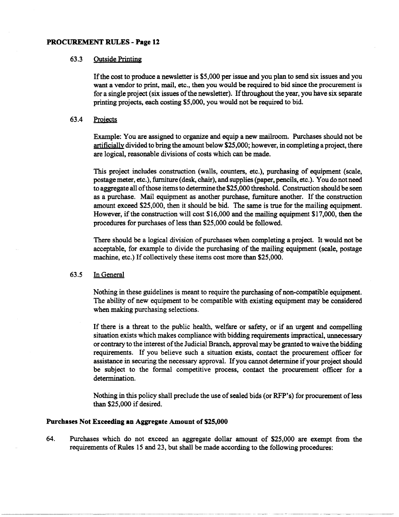#### 63.3 Outside Printing

If the cost to produce a newsletter is \$5,000 per issue and you plan to send six issues and you want a vendor to print, mail, etc., then you would be required to bid since the procurement is for a single project (six issues of the newsletter). If throughout the year, you have six separate printing projects, each costing \$5,000, you would not be required to bid.

## 63.4 Projects

Example: You are assigned to organize and equip a new mailroom. Purchases should not be artificially divided to bring the amount below \$25,000; however, in completing a project, there are logical, reasonable divisions of costs which can be made.

This project includes construction (walls, counters, etc.), purchasing of equipment (scale, postage meter, etc.), furniture (desk, chair), and supplies (paper, pencils, etc. ). You do not need to aggregate all of those items to determine the \$25,000 threshold. Construction should be seen as a purchase. Mail equipment as another purchase, furniture another. If the construction amount exceed \$25,000, then it should be bid. The same is true for the mailing equipment. However, if the construction will cost \$16,000 and the mailing equipment \$17,000, then the procedures for purchases of less than \$25,000 could be followed.

There should be a logical division of purchases when completing a project. It would not be acceptable, for example to divide the purchasing of the mailing equipment (scale, postage machine, etc.) If collectively these items cost more than \$25,000.

### 63.5 In General

Nothing in these guidelines is meant to require the purchasing of non-compatible equipment. The ability of new equipment to be compatible with existing equipment may be considered when making purchasing selections.

If there is a threat to the public health, welfare or safety, or if an urgent and compelling situation exists which makes compliance with bidding requirements impractical, unnecessary or contrary to the interest of the Judicial Branch, approval may be granted to waive the bidding requirements. If you believe such a situation exists, contact the procurement officer for assistance in securing the necessary approval. If you cannot determine if your project should be subject to the formal competitive process, contact the procurement officer for a determination.

Nothing in this policy shall preclude the use of sealed bids (or RFP's) for procurement of less than \$25,000 if desired.

#### Purchases Not Exceeding an Aggregate Amount of \$25,000

64. Purchases which do not exceed an aggregate dollar amount of \$25,000 are exempt from the requirements of Rules 15 and 23, but shall be made according to the following procedures: